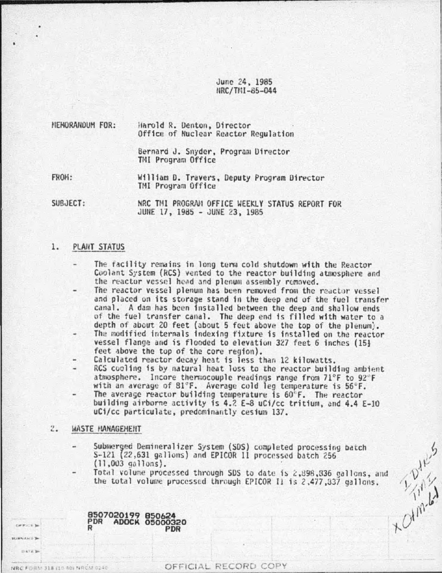June 24. 1985 tlRC/Ttll-85-044

| NEHORANDUM FOR: |  | Harold R. Denton, Director           |
|-----------------|--|--------------------------------------|
|                 |  | Office of Nuclear Reactor Regulation |

Bernard J. Snyder, Program Director TMI Program Office

FROH: William D. Travers, Deputy Program Director TMI Program Office

SUBJECT: NRC THI PROGRAM OFFICE WEEKLY STATUS REPORT FOR JUHE 17, 19d5 - JUNE 23, 1985

### 1. PLANT STATUS

- The facility remains in long term cold shutdown with the Reactor Coolant System (RCS) vented to the reactor building atmosphere and the reactor vessel head and plenum assembly removed.
- The reactor vessel plenum has been removed from the reactor vessel and placed on its storage stand in the deep end of the fuel transfer canal. A dam has been installed between the deep and shallow ends of the fuel transfer canal. The deep end is filled with water to a<br>depth of about 20 feet (about 5 feet above the top of the plenum).
- The modified internals indexing fixture is installed on the reactor vessel flange and is flooded to elevation 327 feet 6 inches (15} feet above the top of the core region).
- Calculated reactor decay heat is less than 12 kilowatts.
- RCS cooling is by natural heat loss to the reactor building ambient atmosphere. Incore thermocouple readings range from 71°F to 92°F with an average of 81°F. Average cold leg temperature is  $56\degree F$ .
- The average reactor building temperature is 60°F. The reactor building airborne activity is 4.2 E-8 uCi/cc tritium, and 4.4 E-10 uCi/cc particulate, predominantly cesium 137.

### ., ..... WASTE MANAGEMENT

11.000 AM & TH  $v \leftrightarrow v$ 

NRC FORM 318 (10 40) NRCM 0240

**CARLO M** 

- Submerged Demineralizer System (SDS) completed processing batch S-121 (22,631 gallons) and EPICOR 11 processed batch 256 (11,003 ga llons). Submerged Demineralizer system<br>
S-121 (22,631 gallons) and EPICOR II processed batch *is*<br>
(11,003 gallons).<br>
Total volume processed through SDS to date is *i*.498,836 gallons, and<br>
the total volume processed through EPIC
	- the total volume processed through EPICOR Il is 2,477,337 gallons.

8507020199 850624 PDR ADOCK 05000320 R PDR

OFFICIAL RECORD COPY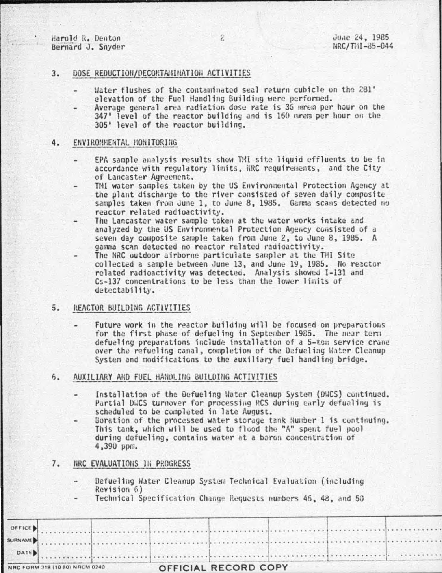Harold R. Denton Bernard J. Snyder

### $3.$ DOSE REDUCTION/DECONTAHINATION ACTIVITIES

- Water flushes of the contaminated seal return cubicle on the 281' elevation of the Fuel Handling Building were performed.
- Average general area radiation dose rate is 36 mrem per hour on the 347' level of the reactor building and is 160 mrem per hour on the 305' level of the reactor building.

#### $4.$ ENVIRONMENTAL MONITORING

- EPA sample analysis results show TMI site liquid effluents to be in accordance with requlatory limits, NRC requirements, and the City of Lancaster Agreement.
- TMI water samples taken by the US Environmental Protection Agency at the plant discharge to the river consisted of seven daily composite samples taken from June 1, to June 8, 1985. Gamma scans detected no reactor related radioactivity.
- The Lancaster water sample taken at the water works intake and analyzed by the US Environmental Protection Agency consisted of a seven day composite sample taken from June 2, to June 8, 1985. A gamma scan detected no reactor related radioactivity.
- The NRC outdoor airborne particulate sampler at the THI Site collected a sample between June 13, and June 19, 1985. No reactor related radioactivity was detected. Analysis showed I-131 and Cs-137 concentrations to be less than the lower limits of detectability.

## 5. REACTOR BUILDING ACTIVITIES

Future work in the reactor building will be focused on preparations for the first phase of defueling in September 1985. The near term defueling preparations include installation of a 5-ton service crane over the refueling canal, completion of the Defueling Water Cleanup System and modifications to the auxiliary fuel handling bridge.

### $6.$ AUXILIARY AND FUEL HANDLING BUILDING ACTIVITIES

- Installation of the Defueling Water Cleanup System (DWCS) continued. Partial DWCS turnover for processing RCS during early defueling is scheduled to be completed in late August.
	- Boration of the processed water storage tank Number 1 is continuing. This tank, which will be used to flood the "A" spent fuel pool during defueling, contains water at a boron concentration of 4,390 ppm.

### 7. NRC EVALUATIONS IN PROGRESS

- Defueling Water Cleanup System Technical Evaluation (including Revision 6)
- Technical Specification Change Requests numbers 46, 48, and 50

|      | NRC FORM 318 (10 80) NRCM 0240 |  | OFFICIAL RECORD COPY |  |  |  |  |
|------|--------------------------------|--|----------------------|--|--|--|--|
| DATE |                                |  |                      |  |  |  |  |
|      |                                |  |                      |  |  |  |  |
|      |                                |  |                      |  |  |  |  |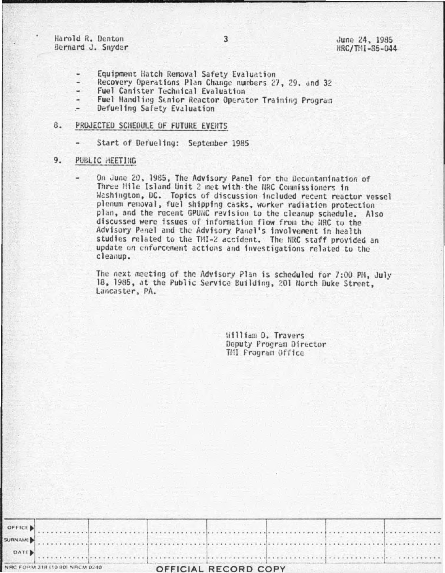Harold R. Denton Bernard J. Snyder

June 24, 1985 NRC/TNI-85-044

- Equipment Hatch Removal Safety Evaluation
- Recovery Operations Plan Change numbers 27, 29. and 32
- Fuel Canister Technical Evaluation ۷
- Fuel Handling Senior Reactor Operator Training Program
- Defueling Safety Evaluation  $\qquad \qquad \blacksquare$

# **8. PROJECTED SCHEDULE OF FUTURE EVENTS**

Start of Defueling: September 1985

#### 9. PUBLIC HEETING

On June 20, 1985, The Advisory Panel for the Decontamination of Three Mile Island Unit 2 met with the NRC Commissioners in Washington, DC. Topics of discussion included recent reactor vessel plenum removal, fuel shipping casks, worker radiation protection plan, and the recent GPUNC revision to the cleanup schedule. Also discussed were issues of information flow from the NRC to the Advisory Panel and the Advisory Panel's involvement in health studies related to the TMI-2 accident. The NRC staff provided an update on enforcement actions and investigations related to the cleanup.

The next meeting of the Advisory Plan is scheduled for 7:00 PM, July 18, 1985, at the Public Service Building, 201 North Duke Street, Lancaster, PA.

> William D. Travers Deputy Program Director TMI Frogram Office

|         | NRC FORM 318 (10 80) NRCM 0240 |  | OFFICIAL RECORD COPY |  |  |
|---------|--------------------------------|--|----------------------|--|--|
| DATE.   |                                |  |                      |  |  |
| SURNAME |                                |  |                      |  |  |
| OFFICE  |                                |  |                      |  |  |